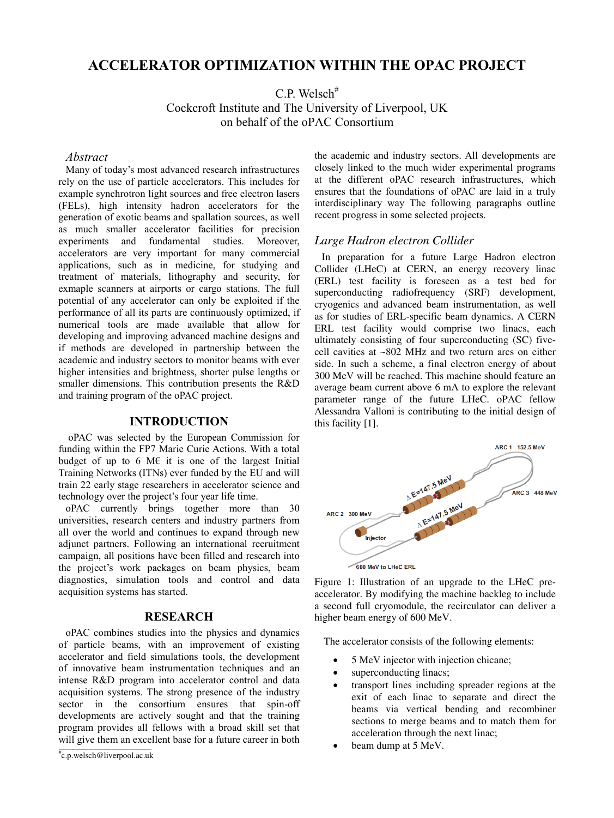# **ACCELERATOR OPTIMIZATION WITHIN THE OPAC PROJECT**

 $C.P.$  Welsch<sup>#</sup>

Cockcroft Institute and The University of Liverpool, UK on behalf of the oPAC Consortium

#### *Abstract*

Many of today's most advanced research infrastructures rely on the use of particle accelerators. This includes for example synchrotron light sources and free electron lasers (FELs), high intensity hadron accelerators for the generation of exotic beams and spallation sources, as well as much smaller accelerator facilities for precision experiments and fundamental studies. Moreover, accelerators are very important for many commercial applications, such as in medicine, for studying and treatment of materials, lithography and security, for exmaple scanners at airports or cargo stations. The full potential of any accelerator can only be exploited if the performance of all its parts are continuously optimized, if numerical tools are made available that allow for developing and improving advanced machine designs and if methods are developed in partnership between the academic and industry sectors to monitor beams with ever higher intensities and brightness, shorter pulse lengths or smaller dimensions. This contribution presents the R&D and training program of the oPAC project.

## **INTRODUCTION**

 oPAC was selected by the European Commission for funding within the FP7 Marie Curie Actions. With a total budget of up to 6 M $\epsilon$  it is one of the largest Initial Training Networks (ITNs) ever funded by the EU and will train 22 early stage researchers in accelerator science and technology over the project's four year life time.

oPAC currently brings together more than 30 universities, research centers and industry partners from all over the world and continues to expand through new adjunct partners. Following an international recruitment campaign, all positions have been filled and research into the project's work packages on beam physics, beam diagnostics, simulation tools and control and data acquisition systems has started.

#### **RESEARCH**

oPAC combines studies into the physics and dynamics of particle beams, with an improvement of existing accelerator and field simulations tools, the development of innovative beam instrumentation techniques and an intense R&D program into accelerator control and data acquisition systems. The strong presence of the industry sector in the consortium ensures that spin-off developments are actively sought and that the training program provides all fellows with a broad skill set that will give them an excellent base for a future career in both the academic and industry sectors. All developments are closely linked to the much wider experimental programs at the different oPAC research infrastructures, which ensures that the foundations of oPAC are laid in a truly interdisciplinary way The following paragraphs outline recent progress in some selected projects.

## *Large Hadron electron Collider*

In preparation for a future Large Hadron electron Collider (LHeC) at CERN, an energy recovery linac (ERL) test facility is foreseen as a test bed for superconducting radiofrequency (SRF) development, cryogenics and advanced beam instrumentation, as well as for studies of ERL-specific beam dynamics. A CERN ERL test facility would comprise two linacs, each ultimately consisting of four superconducting (SC) fivecell cavities at ~802 MHz and two return arcs on either side. In such a scheme, a final electron energy of about 300 MeV will be reached. This machine should feature an average beam current above 6 mA to explore the relevant parameter range of the future LHeC. oPAC fellow Alessandra Valloni is contributing to the initial design of this facility [1].



600 MeV to LHeC ERL

Figure 1: Illustration of an upgrade to the LHeC preaccelerator. By modifying the machine backleg to include a second full cryomodule, the recirculator can deliver a higher beam energy of 600 MeV.

The accelerator consists of the following elements:

- 5 MeV injector with injection chicane;
- superconducting linacs;
- transport lines including spreader regions at the exit of each linac to separate and direct the beams via vertical bending and recombiner sections to merge beams and to match them for acceleration through the next linac;
- beam dump at 5 MeV.

c.p.welsch@liverpool.ac.uk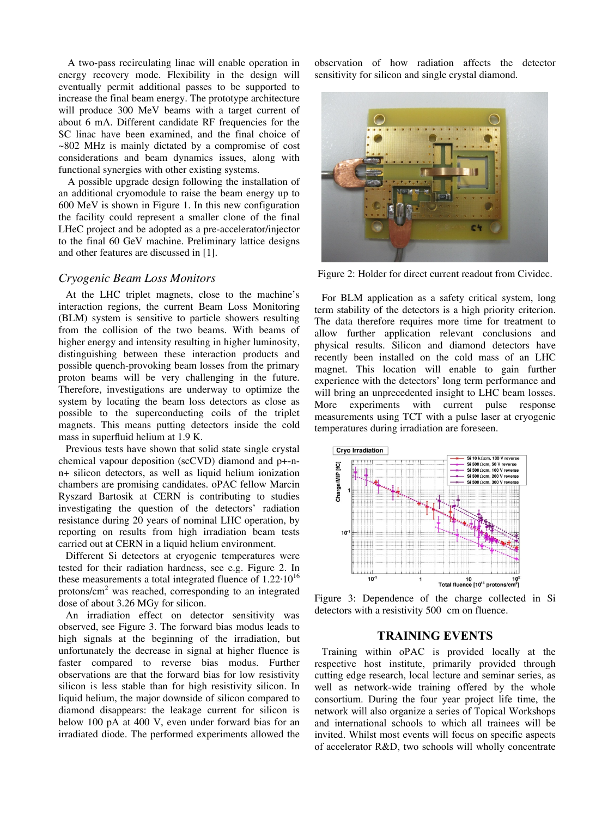A two-pass recirculating linac will enable operation in energy recovery mode. Flexibility in the design will eventually permit additional passes to be supported to increase the final beam energy. The prototype architecture will produce 300 MeV beams with a target current of about 6 mA. Different candidate RF frequencies for the SC linac have been examined, and the final choice of ~802 MHz is mainly dictated by a compromise of cost considerations and beam dynamics issues, along with functional synergies with other existing systems.

A possible upgrade design following the installation of an additional cryomodule to raise the beam energy up to 600 MeV is shown in Figure 1. In this new configuration the facility could represent a smaller clone of the final LHeC project and be adopted as a pre-accelerator/injector to the final 60 GeV machine. Preliminary lattice designs and other features are discussed in [1].

## *Cryogenic Beam Loss Monitors*

At the LHC triplet magnets, close to the machine's interaction regions, the current Beam Loss Monitoring (BLM) system is sensitive to particle showers resulting from the collision of the two beams. With beams of higher energy and intensity resulting in higher luminosity, distinguishing between these interaction products and possible quench-provoking beam losses from the primary proton beams will be very challenging in the future. Therefore, investigations are underway to optimize the system by locating the beam loss detectors as close as possible to the superconducting coils of the triplet magnets. This means putting detectors inside the cold mass in superfluid helium at 1.9 K.

Previous tests have shown that solid state single crystal chemical vapour deposition (scCVD) diamond and p+-nn+ silicon detectors, as well as liquid helium ionization chambers are promising candidates. oPAC fellow Marcin Ryszard Bartosik at CERN is contributing to studies investigating the question of the detectors' radiation resistance during 20 years of nominal LHC operation, by reporting on results from high irradiation beam tests carried out at CERN in a liquid helium environment.

Different Si detectors at cryogenic temperatures were tested for their radiation hardness, see e.g. Figure 2. In these measurements a total integrated fluence of  $1.22 \cdot 10^{16}$ protons/cm<sup>2</sup> was reached, corresponding to an integrated dose of about 3.26 MGy for silicon.

An irradiation effect on detector sensitivity was observed, see Figure 3. The forward bias modus leads to high signals at the beginning of the irradiation, but unfortunately the decrease in signal at higher fluence is faster compared to reverse bias modus. Further observations are that the forward bias for low resistivity silicon is less stable than for high resistivity silicon. In liquid helium, the major downside of silicon compared to diamond disappears: the leakage current for silicon is below 100 pA at 400 V, even under forward bias for an irradiated diode. The performed experiments allowed the

observation of how radiation affects the detector sensitivity for silicon and single crystal diamond.



Figure 2: Holder for direct current readout from Cividec.

For BLM application as a safety critical system, long term stability of the detectors is a high priority criterion. The data therefore requires more time for treatment to allow further application relevant conclusions and physical results. Silicon and diamond detectors have recently been installed on the cold mass of an LHC magnet. This location will enable to gain further experience with the detectors' long term performance and will bring an unprecedented insight to LHC beam losses. More experiments with current pulse response measurements using TCT with a pulse laser at cryogenic temperatures during irradiation are foreseen.



Figure 3: Dependence of the charge collected in Si detectors with a resistivity 500 cm on fluence.

## **TRAINING EVENTS**

Training within oPAC is provided locally at the respective host institute, primarily provided through cutting edge research, local lecture and seminar series, as well as network-wide training offered by the whole consortium. During the four year project life time, the network will also organize a series of Topical Workshops and international schools to which all trainees will be invited. Whilst most events will focus on specific aspects of accelerator R&D, two schools will wholly concentrate